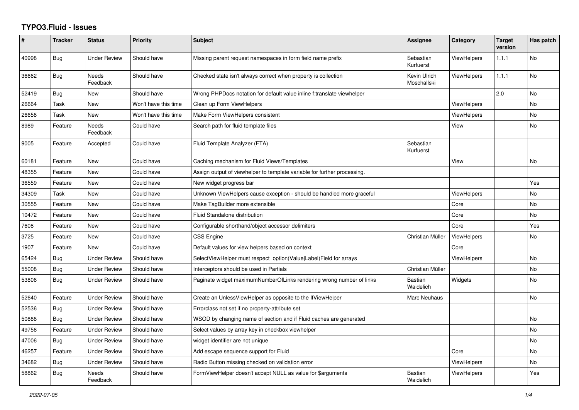## **TYPO3.Fluid - Issues**

| #     | <b>Tracker</b> | <b>Status</b>       | <b>Priority</b>      | <b>Subject</b>                                                           | Assignee                    | Category           | <b>Target</b><br>version | Has patch |
|-------|----------------|---------------------|----------------------|--------------------------------------------------------------------------|-----------------------------|--------------------|--------------------------|-----------|
| 40998 | <b>Bug</b>     | <b>Under Review</b> | Should have          | Missing parent request namespaces in form field name prefix              | Sebastian<br>Kurfuerst      | <b>ViewHelpers</b> | 1.1.1                    | <b>No</b> |
| 36662 | <b>Bug</b>     | Needs<br>Feedback   | Should have          | Checked state isn't always correct when property is collection           | Kevin Ulrich<br>Moschallski | <b>ViewHelpers</b> | 1.1.1                    | No        |
| 52419 | <b>Bug</b>     | New                 | Should have          | Wrong PHPDocs notation for default value inline f:translate viewhelper   |                             |                    | 2.0                      | <b>No</b> |
| 26664 | Task           | New                 | Won't have this time | Clean up Form ViewHelpers                                                |                             | <b>ViewHelpers</b> |                          | <b>No</b> |
| 26658 | Task           | New                 | Won't have this time | Make Form ViewHelpers consistent                                         |                             | <b>ViewHelpers</b> |                          | No        |
| 8989  | Feature        | Needs<br>Feedback   | Could have           | Search path for fluid template files                                     |                             | View               |                          | No        |
| 9005  | Feature        | Accepted            | Could have           | Fluid Template Analyzer (FTA)                                            | Sebastian<br>Kurfuerst      |                    |                          |           |
| 60181 | Feature        | <b>New</b>          | Could have           | Caching mechanism for Fluid Views/Templates                              |                             | View               |                          | <b>No</b> |
| 48355 | Feature        | New                 | Could have           | Assign output of viewhelper to template variable for further processing. |                             |                    |                          |           |
| 36559 | Feature        | New                 | Could have           | New widget progress bar                                                  |                             |                    |                          | Yes       |
| 34309 | Task           | <b>New</b>          | Could have           | Unknown ViewHelpers cause exception - should be handled more graceful    |                             | <b>ViewHelpers</b> |                          | <b>No</b> |
| 30555 | Feature        | New                 | Could have           | Make TagBuilder more extensible                                          |                             | Core               |                          | <b>No</b> |
| 10472 | Feature        | New                 | Could have           | Fluid Standalone distribution                                            |                             | Core               |                          | No        |
| 7608  | Feature        | <b>New</b>          | Could have           | Configurable shorthand/object accessor delimiters                        |                             | Core               |                          | Yes       |
| 3725  | Feature        | <b>New</b>          | Could have           | <b>CSS Engine</b>                                                        | Christian Müller            | <b>ViewHelpers</b> |                          | <b>No</b> |
| 1907  | Feature        | New                 | Could have           | Default values for view helpers based on context                         |                             | Core               |                          |           |
| 65424 | <b>Bug</b>     | <b>Under Review</b> | Should have          | SelectViewHelper must respect option(Value Label)Field for arrays        |                             | <b>ViewHelpers</b> |                          | No        |
| 55008 | <b>Bug</b>     | Under Review        | Should have          | Interceptors should be used in Partials                                  | Christian Müller            |                    |                          | <b>No</b> |
| 53806 | Bug            | Under Review        | Should have          | Paginate widget maximumNumberOfLinks rendering wrong number of links     | <b>Bastian</b><br>Waidelich | Widgets            |                          | <b>No</b> |
| 52640 | Feature        | Under Review        | Should have          | Create an UnlessViewHelper as opposite to the IfViewHelper               | Marc Neuhaus                |                    |                          | No        |
| 52536 | <b>Bug</b>     | <b>Under Review</b> | Should have          | Errorclass not set if no property-attribute set                          |                             |                    |                          |           |
| 50888 | Bug            | <b>Under Review</b> | Should have          | WSOD by changing name of section and if Fluid caches are generated       |                             |                    |                          | <b>No</b> |
| 49756 | Feature        | Under Review        | Should have          | Select values by array key in checkbox viewhelper                        |                             |                    |                          | <b>No</b> |
| 47006 | Bug            | <b>Under Review</b> | Should have          | widget identifier are not unique                                         |                             |                    |                          | <b>No</b> |
| 46257 | Feature        | <b>Under Review</b> | Should have          | Add escape sequence support for Fluid                                    |                             | Core               |                          | <b>No</b> |
| 34682 | Bug            | Under Review        | Should have          | Radio Button missing checked on validation error                         |                             | <b>ViewHelpers</b> |                          | <b>No</b> |
| 58862 | <b>Bug</b>     | Needs<br>Feedback   | Should have          | FormViewHelper doesn't accept NULL as value for \$arguments              | Bastian<br>Waidelich        | ViewHelpers        |                          | Yes       |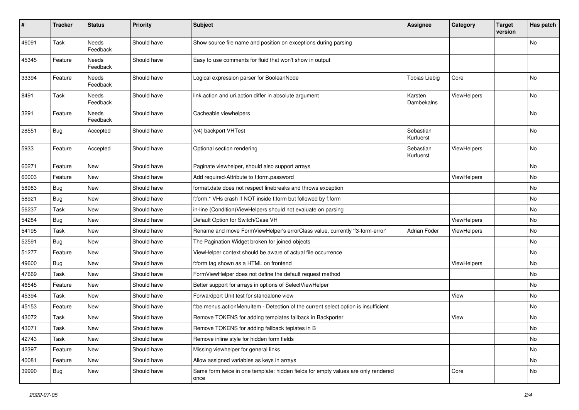| #     | <b>Tracker</b> | <b>Status</b>            | <b>Priority</b> | <b>Subject</b>                                                                            | <b>Assignee</b>        | Category           | <b>Target</b><br>version | Has patch |
|-------|----------------|--------------------------|-----------------|-------------------------------------------------------------------------------------------|------------------------|--------------------|--------------------------|-----------|
| 46091 | Task           | <b>Needs</b><br>Feedback | Should have     | Show source file name and position on exceptions during parsing                           |                        |                    |                          | No        |
| 45345 | Feature        | Needs<br>Feedback        | Should have     | Easy to use comments for fluid that won't show in output                                  |                        |                    |                          |           |
| 33394 | Feature        | Needs<br>Feedback        | Should have     | Logical expression parser for BooleanNode                                                 | <b>Tobias Liebig</b>   | Core               |                          | No        |
| 8491  | Task           | Needs<br>Feedback        | Should have     | link.action and uri.action differ in absolute argument                                    | Karsten<br>Dambekalns  | ViewHelpers        |                          | No        |
| 3291  | Feature        | <b>Needs</b><br>Feedback | Should have     | Cacheable viewhelpers                                                                     |                        |                    |                          | No        |
| 28551 | Bug            | Accepted                 | Should have     | (v4) backport VHTest                                                                      | Sebastian<br>Kurfuerst |                    |                          | No        |
| 5933  | Feature        | Accepted                 | Should have     | Optional section rendering                                                                | Sebastian<br>Kurfuerst | ViewHelpers        |                          | No        |
| 60271 | Feature        | New                      | Should have     | Paginate viewhelper, should also support arrays                                           |                        |                    |                          | No        |
| 60003 | Feature        | New                      | Should have     | Add required-Attribute to f:form.password                                                 |                        | <b>ViewHelpers</b> |                          | No        |
| 58983 | Bug            | New                      | Should have     | format.date does not respect linebreaks and throws exception                              |                        |                    |                          | No        |
| 58921 | Bug            | New                      | Should have     | f:form.* VHs crash if NOT inside f:form but followed by f:form                            |                        |                    |                          | No        |
| 56237 | Task           | New                      | Should have     | in-line (Condition) ViewHelpers should not evaluate on parsing                            |                        |                    |                          | No        |
| 54284 | Bug            | New                      | Should have     | Default Option for Switch/Case VH                                                         |                        | ViewHelpers        |                          | No        |
| 54195 | Task           | New                      | Should have     | Rename and move FormViewHelper's errorClass value, currently 'f3-form-error'              | Adrian Föder           | ViewHelpers        |                          | No        |
| 52591 | Bug            | New                      | Should have     | The Pagination Widget broken for joined objects                                           |                        |                    |                          | No        |
| 51277 | Feature        | New                      | Should have     | ViewHelper context should be aware of actual file occurrence                              |                        |                    |                          | No        |
| 49600 | Bug            | New                      | Should have     | f:form tag shown as a HTML on frontend                                                    |                        | ViewHelpers        |                          | No        |
| 47669 | Task           | <b>New</b>               | Should have     | FormViewHelper does not define the default request method                                 |                        |                    |                          | No        |
| 46545 | Feature        | New                      | Should have     | Better support for arrays in options of SelectViewHelper                                  |                        |                    |                          | No        |
| 45394 | Task           | New                      | Should have     | Forwardport Unit test for standalone view                                                 |                        | View               |                          | No        |
| 45153 | Feature        | New                      | Should have     | f:be.menus.actionMenuItem - Detection of the current select option is insufficient        |                        |                    |                          | No        |
| 43072 | Task           | New                      | Should have     | Remove TOKENS for adding templates fallback in Backporter                                 |                        | View               |                          | No        |
| 43071 | Task           | New                      | Should have     | Remove TOKENS for adding fallback teplates in B                                           |                        |                    |                          | No        |
| 42743 | Task           | New                      | Should have     | Remove inline style for hidden form fields                                                |                        |                    |                          | No        |
| 42397 | Feature        | New                      | Should have     | Missing viewhelper for general links                                                      |                        |                    |                          | No        |
| 40081 | Feature        | New                      | Should have     | Allow assigned variables as keys in arrays                                                |                        |                    |                          | No        |
| 39990 | <b>Bug</b>     | New                      | Should have     | Same form twice in one template: hidden fields for empty values are only rendered<br>once |                        | Core               |                          | No        |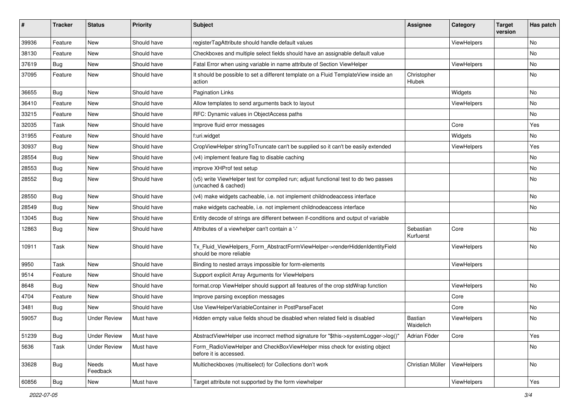| #     | <b>Tracker</b> | <b>Status</b>       | <b>Priority</b> | Subject                                                                                                     | <b>Assignee</b>             | Category    | <b>Target</b><br>version | Has patch |
|-------|----------------|---------------------|-----------------|-------------------------------------------------------------------------------------------------------------|-----------------------------|-------------|--------------------------|-----------|
| 39936 | Feature        | New                 | Should have     | registerTagAttribute should handle default values                                                           |                             | ViewHelpers |                          | <b>No</b> |
| 38130 | Feature        | New                 | Should have     | Checkboxes and multiple select fields should have an assignable default value                               |                             |             |                          | No        |
| 37619 | Bug            | New                 | Should have     | Fatal Error when using variable in name attribute of Section ViewHelper                                     |                             | ViewHelpers |                          | No        |
| 37095 | Feature        | New                 | Should have     | It should be possible to set a different template on a Fluid TemplateView inside an<br>action               | Christopher<br>Hlubek       |             |                          | No        |
| 36655 | Bug            | New                 | Should have     | <b>Pagination Links</b>                                                                                     |                             | Widgets     |                          | No        |
| 36410 | Feature        | New                 | Should have     | Allow templates to send arguments back to layout                                                            |                             | ViewHelpers |                          | No        |
| 33215 | Feature        | New                 | Should have     | RFC: Dynamic values in ObjectAccess paths                                                                   |                             |             |                          | No        |
| 32035 | Task           | New                 | Should have     | Improve fluid error messages                                                                                |                             | Core        |                          | Yes       |
| 31955 | Feature        | <b>New</b>          | Should have     | f:uri.widget                                                                                                |                             | Widgets     |                          | No        |
| 30937 | Bug            | New                 | Should have     | CropViewHelper stringToTruncate can't be supplied so it can't be easily extended                            |                             | ViewHelpers |                          | Yes       |
| 28554 | Bug            | New                 | Should have     | (v4) implement feature flag to disable caching                                                              |                             |             |                          | No        |
| 28553 | Bug            | New                 | Should have     | improve XHProf test setup                                                                                   |                             |             |                          | No        |
| 28552 | Bug            | New                 | Should have     | (v5) write ViewHelper test for compiled run; adjust functional test to do two passes<br>(uncached & cached) |                             |             |                          | No        |
| 28550 | Bug            | New                 | Should have     | (v4) make widgets cacheable, i.e. not implement childnodeaccess interface                                   |                             |             |                          | No        |
| 28549 | Bug            | New                 | Should have     | make widgets cacheable, i.e. not implement childnodeaccess interface                                        |                             |             |                          | No        |
| 13045 | Bug            | New                 | Should have     | Entity decode of strings are different between if-conditions and output of variable                         |                             |             |                          |           |
| 12863 | Bug            | New                 | Should have     | Attributes of a viewhelper can't contain a '-'                                                              | Sebastian<br>Kurfuerst      | Core        |                          | No        |
| 10911 | Task           | New                 | Should have     | Tx_Fluid_ViewHelpers_Form_AbstractFormViewHelper->renderHiddenIdentityField<br>should be more reliable      |                             | ViewHelpers |                          | <b>No</b> |
| 9950  | Task           | New                 | Should have     | Binding to nested arrays impossible for form-elements                                                       |                             | ViewHelpers |                          |           |
| 9514  | Feature        | New                 | Should have     | Support explicit Array Arguments for ViewHelpers                                                            |                             |             |                          |           |
| 8648  | Bug            | New                 | Should have     | format.crop ViewHelper should support all features of the crop stdWrap function                             |                             | ViewHelpers |                          | <b>No</b> |
| 4704  | Feature        | New                 | Should have     | Improve parsing exception messages                                                                          |                             | Core        |                          |           |
| 3481  | Bug            | New                 | Should have     | Use ViewHelperVariableContainer in PostParseFacet                                                           |                             | Core        |                          | No        |
| 59057 | Bug            | Under Review        | Must have       | Hidden empty value fields shoud be disabled when related field is disabled                                  | <b>Bastian</b><br>Waidelich | ViewHelpers |                          | No        |
| 51239 | Bug            | <b>Under Review</b> | Must have       | AbstractViewHelper use incorrect method signature for "\$this->systemLogger->log()"                         | Adrian Föder                | Core        |                          | Yes       |
| 5636  | Task           | <b>Under Review</b> | Must have       | Form_RadioViewHelper and CheckBoxViewHelper miss check for existing object<br>before it is accessed.        |                             |             |                          | No        |
| 33628 | <b>Bug</b>     | Needs<br>Feedback   | Must have       | Multicheckboxes (multiselect) for Collections don't work                                                    | Christian Müller            | ViewHelpers |                          | No        |
| 60856 | <b>Bug</b>     | New                 | Must have       | Target attribute not supported by the form viewhelper                                                       |                             | ViewHelpers |                          | Yes       |